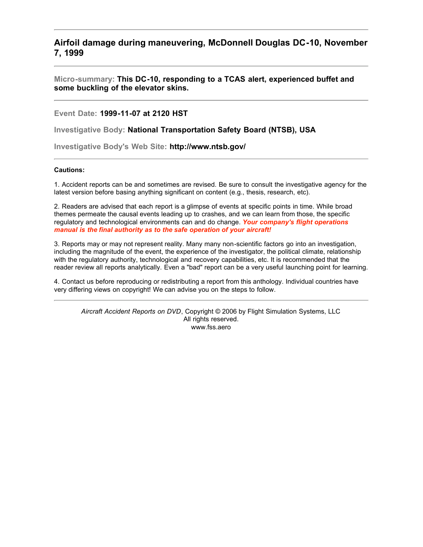**Airfoil damage during maneuvering, McDonnell Douglas DC-10, November 7, 1999**

**Micro-summary: This DC-10, responding to a TCAS alert, experienced buffet and some buckling of the elevator skins.**

**Event Date: 1999-11-07 at 2120 HST**

**Investigative Body: National Transportation Safety Board (NTSB), USA**

**Investigative Body's Web Site: http://www.ntsb.gov/**

# **Cautions:**

1. Accident reports can be and sometimes are revised. Be sure to consult the investigative agency for the latest version before basing anything significant on content (e.g., thesis, research, etc).

2. Readers are advised that each report is a glimpse of events at specific points in time. While broad themes permeate the causal events leading up to crashes, and we can learn from those, the specific regulatory and technological environments can and do change. *Your company's flight operations manual is the final authority as to the safe operation of your aircraft!*

3. Reports may or may not represent reality. Many many non-scientific factors go into an investigation, including the magnitude of the event, the experience of the investigator, the political climate, relationship with the regulatory authority, technological and recovery capabilities, etc. It is recommended that the reader review all reports analytically. Even a "bad" report can be a very useful launching point for learning.

4. Contact us before reproducing or redistributing a report from this anthology. Individual countries have very differing views on copyright! We can advise you on the steps to follow.

*Aircraft Accident Reports on DVD*, Copyright © 2006 by Flight Simulation Systems, LLC All rights reserved. www.fss.aero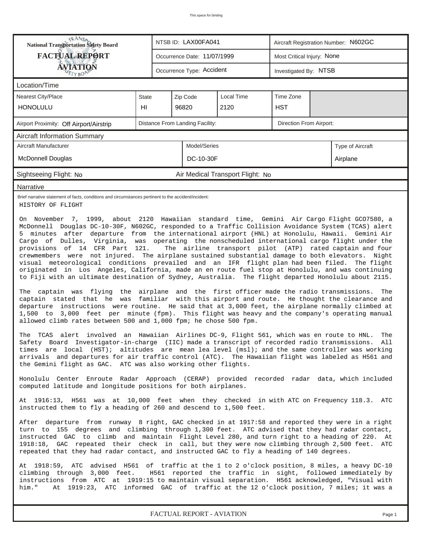| <b>National Transportation Safety Board</b><br>NTSB ID: LAX00FA041<br>Aircraft Registration Number: N602GC                                                                                                                                                                                                                                                                                                                                                                                                                                                                                                                                                                                                                                                                                                                                                                                                                                                                                                                                                                                                                                                                                                                                                                                                                                                                                                                                                                                                                                                                                                                                                                                                                                                                                                                                                                                                                                           |                                     |                             |                           |  |                       |  |  |  |  |
|------------------------------------------------------------------------------------------------------------------------------------------------------------------------------------------------------------------------------------------------------------------------------------------------------------------------------------------------------------------------------------------------------------------------------------------------------------------------------------------------------------------------------------------------------------------------------------------------------------------------------------------------------------------------------------------------------------------------------------------------------------------------------------------------------------------------------------------------------------------------------------------------------------------------------------------------------------------------------------------------------------------------------------------------------------------------------------------------------------------------------------------------------------------------------------------------------------------------------------------------------------------------------------------------------------------------------------------------------------------------------------------------------------------------------------------------------------------------------------------------------------------------------------------------------------------------------------------------------------------------------------------------------------------------------------------------------------------------------------------------------------------------------------------------------------------------------------------------------------------------------------------------------------------------------------------------------|-------------------------------------|-----------------------------|---------------------------|--|-----------------------|--|--|--|--|
| <b>FACTUAL REPORT</b><br>Most Critical Injury: None<br>Occurrence Date: 11/07/1999                                                                                                                                                                                                                                                                                                                                                                                                                                                                                                                                                                                                                                                                                                                                                                                                                                                                                                                                                                                                                                                                                                                                                                                                                                                                                                                                                                                                                                                                                                                                                                                                                                                                                                                                                                                                                                                                   |                                     |                             |                           |  |                       |  |  |  |  |
| <b>ÁVIATIQN</b>                                                                                                                                                                                                                                                                                                                                                                                                                                                                                                                                                                                                                                                                                                                                                                                                                                                                                                                                                                                                                                                                                                                                                                                                                                                                                                                                                                                                                                                                                                                                                                                                                                                                                                                                                                                                                                                                                                                                      |                                     |                             | Occurrence Type: Accident |  | Investigated By: NTSB |  |  |  |  |
| Location/Time                                                                                                                                                                                                                                                                                                                                                                                                                                                                                                                                                                                                                                                                                                                                                                                                                                                                                                                                                                                                                                                                                                                                                                                                                                                                                                                                                                                                                                                                                                                                                                                                                                                                                                                                                                                                                                                                                                                                        |                                     |                             |                           |  |                       |  |  |  |  |
| Local Time<br>Time Zone<br><b>Nearest City/Place</b><br>State<br>Zip Code                                                                                                                                                                                                                                                                                                                                                                                                                                                                                                                                                                                                                                                                                                                                                                                                                                                                                                                                                                                                                                                                                                                                                                                                                                                                                                                                                                                                                                                                                                                                                                                                                                                                                                                                                                                                                                                                            |                                     |                             |                           |  |                       |  |  |  |  |
| <b>HONOLULU</b>                                                                                                                                                                                                                                                                                                                                                                                                                                                                                                                                                                                                                                                                                                                                                                                                                                                                                                                                                                                                                                                                                                                                                                                                                                                                                                                                                                                                                                                                                                                                                                                                                                                                                                                                                                                                                                                                                                                                      | HI                                  | 2120<br>96820<br><b>HST</b> |                           |  |                       |  |  |  |  |
| Distance From Landing Facility:<br>Direction From Airport:<br>Airport Proximity: Off Airport/Airstrip                                                                                                                                                                                                                                                                                                                                                                                                                                                                                                                                                                                                                                                                                                                                                                                                                                                                                                                                                                                                                                                                                                                                                                                                                                                                                                                                                                                                                                                                                                                                                                                                                                                                                                                                                                                                                                                |                                     |                             |                           |  |                       |  |  |  |  |
| <b>Aircraft Information Summary</b>                                                                                                                                                                                                                                                                                                                                                                                                                                                                                                                                                                                                                                                                                                                                                                                                                                                                                                                                                                                                                                                                                                                                                                                                                                                                                                                                                                                                                                                                                                                                                                                                                                                                                                                                                                                                                                                                                                                  |                                     |                             |                           |  |                       |  |  |  |  |
| Aircraft Manufacturer<br>Model/Series<br>Type of Aircraft                                                                                                                                                                                                                                                                                                                                                                                                                                                                                                                                                                                                                                                                                                                                                                                                                                                                                                                                                                                                                                                                                                                                                                                                                                                                                                                                                                                                                                                                                                                                                                                                                                                                                                                                                                                                                                                                                            |                                     |                             |                           |  |                       |  |  |  |  |
| <b>McDonnell Douglas</b><br>DC-10-30F<br>Airplane                                                                                                                                                                                                                                                                                                                                                                                                                                                                                                                                                                                                                                                                                                                                                                                                                                                                                                                                                                                                                                                                                                                                                                                                                                                                                                                                                                                                                                                                                                                                                                                                                                                                                                                                                                                                                                                                                                    |                                     |                             |                           |  |                       |  |  |  |  |
| Air Medical Transport Flight: No<br>Sightseeing Flight: No                                                                                                                                                                                                                                                                                                                                                                                                                                                                                                                                                                                                                                                                                                                                                                                                                                                                                                                                                                                                                                                                                                                                                                                                                                                                                                                                                                                                                                                                                                                                                                                                                                                                                                                                                                                                                                                                                           |                                     |                             |                           |  |                       |  |  |  |  |
| Narrative                                                                                                                                                                                                                                                                                                                                                                                                                                                                                                                                                                                                                                                                                                                                                                                                                                                                                                                                                                                                                                                                                                                                                                                                                                                                                                                                                                                                                                                                                                                                                                                                                                                                                                                                                                                                                                                                                                                                            |                                     |                             |                           |  |                       |  |  |  |  |
| Brief narrative statement of facts, conditions and circumstances pertinent to the accident/incident:<br>HISTORY OF FLIGHT<br>On November 7, 1999, about 2120 Hawaiian standard time, Gemini Air Cargo Flight GCO7580, a                                                                                                                                                                                                                                                                                                                                                                                                                                                                                                                                                                                                                                                                                                                                                                                                                                                                                                                                                                                                                                                                                                                                                                                                                                                                                                                                                                                                                                                                                                                                                                                                                                                                                                                              |                                     |                             |                           |  |                       |  |  |  |  |
| McDonnell Douglas DC-10-30F, N602GC, responded to a Traffic Collision Avoidance System (TCAS) alert<br>5 minutes after departure from the international airport (HNL) at Honolulu, Hawaii. Gemini Air<br>Cargo of Dulles, Virginia, was operating the nonscheduled international cargo flight under the<br>provisions of 14 CFR Part 121.<br>The airline transport pilot (ATP) rated captain and four<br>crewmembers were not injured. The airplane sustained substantial damage to both elevators. Night<br>visual meteorological conditions prevailed and an IFR flight plan had been filed. The flight<br>originated in Los Angeles, California, made an en route fuel stop at Honolulu, and was continuing<br>to Fiji with an ultimate destination of Sydney, Australia. The flight departed Honolulu about 2115.<br>The captain was flying the airplane and the first officer made the radio transmissions.<br>The<br>captain stated that he was familiar with this airport and route. He thought the clearance and<br>departure instructions were routine. He said that at 3,000 feet, the airplane normally climbed at<br>1,500 to 3,000 feet per minute (fpm). This flight was heavy and the company's operating manual<br>allowed climb rates between 500 and 1,000 fpm; he chose 500 fpm.<br>The TCAS alert involved an Hawaiian Airlines DC-9, Flight 561, which was en route to HNL.<br>The<br>Safety Board Investigator-in-charge (IIC) made a transcript of recorded radio transmissions. All<br>times are local (HST); altitudes are mean lea level (msl); and the same controller was working<br>arrivals and departures for air traffic control (ATC). The Hawaiian flight was labeled as H561 and<br>the Gemini flight as GAC. ATC was also working other flights.<br>Honolulu Center Enroute Radar Approach (CERAP) provided recorded radar data, which included<br>computed latitude and longitude positions for both airplanes. |                                     |                             |                           |  |                       |  |  |  |  |
| At 1916:13, H561 was at 10,000 feet when they checked in with ATC on Frequency 118.3. ATC<br>instructed them to fly a heading of 260 and descend to 1,500 feet.                                                                                                                                                                                                                                                                                                                                                                                                                                                                                                                                                                                                                                                                                                                                                                                                                                                                                                                                                                                                                                                                                                                                                                                                                                                                                                                                                                                                                                                                                                                                                                                                                                                                                                                                                                                      |                                     |                             |                           |  |                       |  |  |  |  |
| After departure from runway 8 right, GAC checked in at 1917:58 and reported they were in a right<br>turn to 155 degrees and climbing through 1,300 feet. ATC advised that they had radar contact,<br>instructed GAC to climb and maintain Flight Level 280, and turn right to a heading of 220.<br>At<br>1918:18, GAC repeated their check in call, but they were now climbing through 2,500 feet. ATC<br>repeated that they had radar contact, and instructed GAC to fly a heading of 140 degrees.                                                                                                                                                                                                                                                                                                                                                                                                                                                                                                                                                                                                                                                                                                                                                                                                                                                                                                                                                                                                                                                                                                                                                                                                                                                                                                                                                                                                                                                  |                                     |                             |                           |  |                       |  |  |  |  |
| At 1918:59, ATC advised H561 of traffic at the 1 to 2 o'clock position, 8 miles, a heavy DC-10<br>climbing through 3,000 feet. H561 reported the traffic in sight, followed immediately by<br>instructions from ATC at 1919:15 to maintain visual separation. H561 acknowledged, "Visual with<br>him."<br>At 1919:23, ATC informed GAC of traffic at the 12 o'clock position, 7 miles; it was a                                                                                                                                                                                                                                                                                                                                                                                                                                                                                                                                                                                                                                                                                                                                                                                                                                                                                                                                                                                                                                                                                                                                                                                                                                                                                                                                                                                                                                                                                                                                                      |                                     |                             |                           |  |                       |  |  |  |  |
|                                                                                                                                                                                                                                                                                                                                                                                                                                                                                                                                                                                                                                                                                                                                                                                                                                                                                                                                                                                                                                                                                                                                                                                                                                                                                                                                                                                                                                                                                                                                                                                                                                                                                                                                                                                                                                                                                                                                                      | FACTUAL REPORT - AVIATION<br>Page 1 |                             |                           |  |                       |  |  |  |  |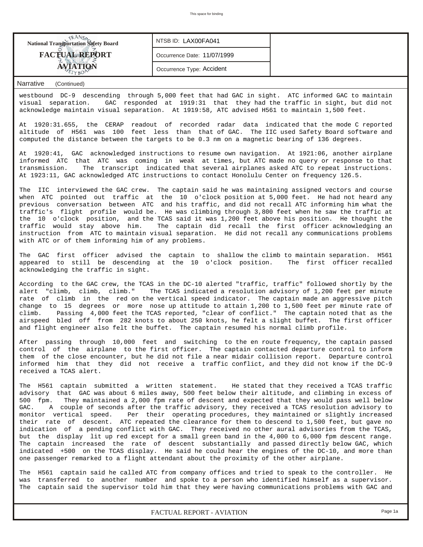| <b>National Transportation Safety Board</b> | NTSB ID: LAX00FA041         |  |
|---------------------------------------------|-----------------------------|--|
| <b>FACTUAL REPORT</b>                       | Occurrence Date: 11/07/1999 |  |
| $\mathbf{A}$ <b>VIATION</b>                 | Occurrence Type: Accident   |  |

westbound DC-9 descending through 5,000 feet that had GAC in sight. ATC informed GAC to maintain visual separation. GAC responded at 1919:31 that they had the traffic in sight, but did not acknowledge maintain visual separation. At 1919:58, ATC advised H561 to maintain 1,500 feet.

At 1920:31.655, the CERAP readout of recorded radar data indicated that the mode C reported altitude of H561 was 100 feet less than that of GAC. The IIC used Safety Board software and computed the distance between the targets to be 0.3 nm on a magnetic bearing of 136 degrees.

At 1920:41, GAC acknowledged instructions to resume own navigation. At 1921:06, another airplane informed ATC that ATC was coming in weak at times, but ATC made no query or response to that transmission. The transcript indicated that several airplanes asked ATC to repeat instructions. At 1923:11, GAC acknowledged ATC instructions to contact Honolulu Center on frequency 126.5.

The IIC interviewed the GAC crew. The captain said he was maintaining assigned vectors and course when ATC pointed out traffic at the 10 o'clock position at 5,000 feet. He had not heard any previous conversation between ATC and his traffic, and did not recall ATC informing him what the traffic's flight profile would be. He was climbing through 3,800 feet when he saw the traffic at the 10 o'clock position, and the TCAS said it was 1,200 feet above his position. He thought the traffic would stay above him. The captain did recall the first officer acknowledging an instruction from ATC to maintain visual separation. He did not recall any communications problems with ATC or of them informing him of any problems.

The GAC first officer advised the captain to shallow the climb to maintain separation. H561 appeared to still be descending at the 10 o'clock position. The first officer recalled acknowledging the traffic in sight.

According to the GAC crew, the TCAS in the DC-10 alerted "traffic, traffic" followed shortly by the alert "climb, climb, climb." The TCAS indicated a resolution advisory of 1,200 feet per minute rate of climb in the red on the vertical speed indicator. The captain made an aggressive pitch change to 15 degrees or more nose up attitude to attain 1,200 to 1,500 feet per minute rate of climb. Passing 4,000 feet the TCAS reported, "clear of conflict." The captain noted that as the airspeed bled off from 282 knots to about 250 knots, he felt a slight buffet. The first officer and flight engineer also felt the buffet. The captain resumed his normal climb profile.

After passing through 10,000 feet and switching to the en route frequency, the captain passed control of the airplane to the first officer. The captain contacted departure control to inform them of the close encounter, but he did not file a near midair collision report. Departure control informed him that they did not receive a traffic conflict, and they did not know if the DC-9 received a TCAS alert.

The H561 captain submitted a written statement. He stated that they received a TCAS traffic advisory that GAC was about 6 miles away, 500 feet below their altitude, and climbing in excess of 500 fpm. They maintained a 2,000 fpm rate of descent and expected that they would pass well below GAC. A couple of seconds after the traffic advisory, they received a TCAS resolution advisory to monitor vertical speed. Per their operating procedures, they maintained or slightly increased their rate of descent. ATC repeated the clearance for them to descend to 1,500 feet, but gave no indication of a pending conflict with GAC. They received no other aural advisories from the TCAS, but the display lit up red except for a small green band in the 4,000 to 6,000 fpm descent range. The captain increased the rate of descent substantially and passed directly below GAC, which indicated +500 on the TCAS display. He said he could hear the engines of the DC-10, and more than one passenger remarked to a flight attendant about the proximity of the other airplane.

The H561 captain said he called ATC from company offices and tried to speak to the controller. He was transferred to another number and spoke to a person who identified himself as a supervisor. The captain said the supervisor told him that they were having communications problems with GAC and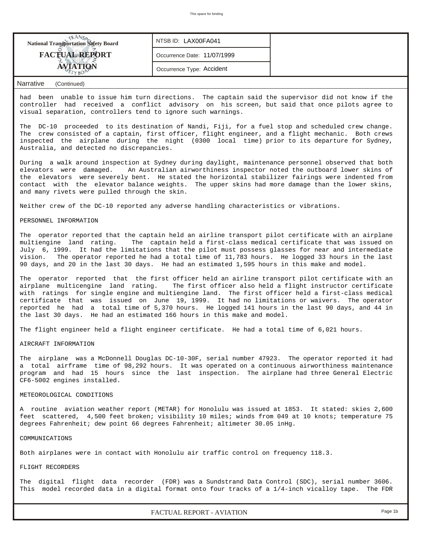

had been unable to issue him turn directions. The captain said the supervisor did not know if the controller had received a conflict advisory on his screen, but said that once pilots agree to visual separation, controllers tend to ignore such warnings.

The DC-10 proceeded to its destination of Nandi, Fiji, for a fuel stop and scheduled crew change. The crew consisted of a captain, first officer, flight engineer, and a flight mechanic. Both crews inspected the airplane during the night (0300 local time) prior to its departure for Sydney, Australia, and detected no discrepancies.

During a walk around inspection at Sydney during daylight, maintenance personnel observed that both elevators were damaged. An Australian airworthiness inspector noted the outboard lower skins of the elevators were severely bent. He stated the horizontal stabilizer fairings were indented from contact with the elevator balance weights. The upper skins had more damage than the lower skins, and many rivets were pulled through the skin.

Neither crew of the DC-10 reported any adverse handling characteristics or vibrations.

# PERSONNEL INFORMATION

The operator reported that the captain held an airline transport pilot certificate with an airplane multiengine land rating. The captain held a first-class medical certificate that was issued on July 6, 1999. It had the limitations that the pilot must possess glasses for near and intermediate vision. The operator reported he had a total time of 11,783 hours. He logged 33 hours in the last 90 days, and 20 in the last 30 days. He had an estimated 1,595 hours in this make and model.

The operator reported that the first officer held an airline transport pilot certificate with an airplane multicengine land rating. The first officer also held a flight instructor certificate with ratings for single engine and multiengine land. The first officer held a first-class medical certificate that was issued on June 19, 1999. It had no limitations or waivers. The operator reported he had a total time of 5,370 hours. He logged 141 hours in the last 90 days, and 44 in the last 30 days. He had an estimated 166 hours in this make and model.

The flight engineer held a flight engineer certificate. He had a total time of 6,021 hours.

# AIRCRAFT INFORMATION

The airplane was a McDonnell Douglas DC-10-30F, serial number 47923. The operator reported it had a total airframe time of 98,292 hours. It was operated on a continuous airworthiness maintenance program and had 15 hours since the last inspection. The airplane had three General Electric CF6-5002 engines installed.

#### METEOROLOGICAL CONDITIONS

A routine aviation weather report (METAR) for Honolulu was issued at 1853. It stated: skies 2,600 feet scattered, 4,500 feet broken; visibility 10 miles; winds from 049 at 10 knots; temperature 75 degrees Fahrenheit; dew point 66 degrees Fahrenheit; altimeter 30.05 inHg.

COMMUNICATIONS

Both airplanes were in contact with Honolulu air traffic control on frequency 118.3.

# FLIGHT RECORDERS

The digital flight data recorder (FDR) was a Sundstrand Data Control (SDC), serial number 3606. This model recorded data in a digital format onto four tracks of a 1/4-inch vicalloy tape. The FDR

*FACTUAL REPORT - AVIATION Page 1b*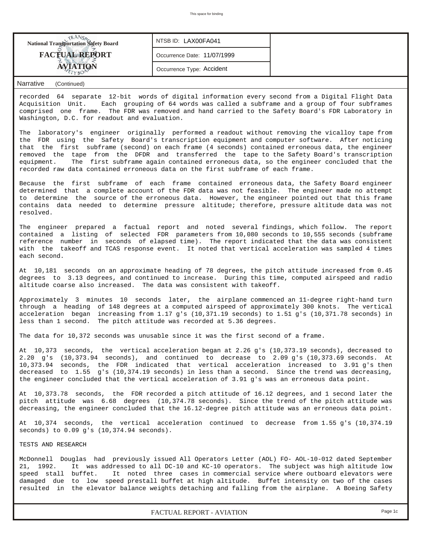| NTSB ID: LAX00FA041<br><b>National Transportation Safety Board</b>                                                                                                                                                                                                                                          |                             |  |  |  |  |  |  |  |  |
|-------------------------------------------------------------------------------------------------------------------------------------------------------------------------------------------------------------------------------------------------------------------------------------------------------------|-----------------------------|--|--|--|--|--|--|--|--|
| <b>FACTUAL REPORT</b>                                                                                                                                                                                                                                                                                       | Occurrence Date: 11/07/1999 |  |  |  |  |  |  |  |  |
| <b>AVIATION</b><br>Occurrence Type: Accident                                                                                                                                                                                                                                                                |                             |  |  |  |  |  |  |  |  |
| Narrative<br>(Continued)                                                                                                                                                                                                                                                                                    |                             |  |  |  |  |  |  |  |  |
| recorded 64 separate 12-bit words of digital information every second from a Digital Flight Data<br>Each grouping of 64 words was called a subframe and a group of four subframes<br>Acquisition Unit.<br>comprised one frame. The FDR was removed and hand carried to the Safety Board's FDR Laboratory in |                             |  |  |  |  |  |  |  |  |

The laboratory's engineer originally performed a readout without removing the vicalloy tape from the FDR using the Safety Board's transcription equipment and computer software. After noticing that the first subframe (second) on each frame (4 seconds) contained erroneous data, the engineer removed the tape from the DFDR and transferred the tape to the Safety Board's transcription equipment. The first subframe again contained erroneous data, so the engineer concluded that the recorded raw data contained erroneous data on the first subframe of each frame.

Washington, D.C. for readout and evaluation.

Because the first subframe of each frame contained erroneous data, the Safety Board engineer determined that a complete account of the FDR data was not feasible. The engineer made no attempt to determine the source of the erroneous data. However, the engineer pointed out that this frame contains data needed to determine pressure altitude; therefore, pressure altitude data was not resolved.

The engineer prepared a factual report and noted several findings, which follow. The report contained a listing of selected FDR parameters from 10,080 seconds to 10,555 seconds (subframe reference number in seconds of elapsed time). The report indicated that the data was consistent with the takeoff and TCAS response event. It noted that vertical acceleration was sampled 4 times each second.

At 10,181 seconds on an approximate heading of 78 degrees, the pitch attitude increased from 0.45 degrees to 3.13 degrees, and continued to increase. During this time, computed airspeed and radio altitude coarse also increased. The data was consistent with takeoff.

Approximately 3 minutes 10 seconds later, the airplane commenced an 11-degree right-hand turn through a heading of 148 degrees at a computed airspeed of approximately 300 knots. The vertical acceleration began increasing from 1.17 g's (10,371.19 seconds) to 1.51 g's (10,371.78 seconds) in less than 1 second. The pitch attitude was recorded at 5.36 degrees.

The data for 10,372 seconds was unusable since it was the first second of a frame.

At 10,373 seconds, the vertical acceleration began at 2.26 g's (10,373.19 seconds), decreased to 2.20 g's (10,373.94 seconds), and continued to decrease to 2.09 g's (10,373.69 seconds. At 10,373.94 seconds, the FDR indicated that vertical acceleration increased to 3.91 g's then decreased to 1.55 g's (10,374.19 seconds) in less than a second. Since the trend was decreasing, the engineer concluded that the vertical acceleration of 3.91 g's was an erroneous data point.

At 10,373.78 seconds, the FDR recorded a pitch attitude of 16.12 degrees, and 1 second later the pitch attitude was 6.68 degrees (10,374.78 seconds). Since the trend of the pitch attitude was decreasing, the engineer concluded that the 16.12-degree pitch attitude was an erroneous data point.

At 10,374 seconds, the vertical acceleration continued to decrease from 1.55 g's (10,374.19 seconds) to 0.09 g's (10,374.94 seconds).

TESTS AND RESEARCH

McDonnell Douglas had previously issued All Operators Letter (AOL) FO- AOL-10-012 dated September 21, 1992. It was addressed to all DC-10 and KC-10 operators. The subject was high altitude low<br>speed stall buffet. It noted three cases in commercial service where outboard elevators were It noted three cases in commercial service where outboard elevators were damaged due to low speed prestall buffet at high altitude. Buffet intensity on two of the cases resulted in the elevator balance weights detaching and falling from the airplane. A Boeing Safety

*FACTUAL REPORT - AVIATION Page 1c*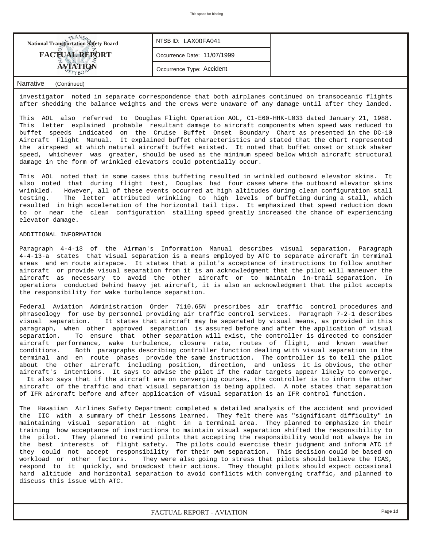| <b>FACTUAL REPORT</b><br>Occurrence Date: 11/07/1999 |  |
|------------------------------------------------------|--|
| Occurrence Type: Accident                            |  |

investigator noted in separate correspondence that both airplanes continued on transoceanic flights after shedding the balance weights and the crews were unaware of any damage until after they landed.

This AOL also referred to Douglas Flight Operation AOL, C1-E60-HHK-L033 dated January 21, 1988. This letter explained probable resultant damage to aircraft components when speed was reduced to buffet speeds indicated on the Cruise Buffet Onset Boundary Chart as presented in the DC-10 Aircraft Flight Manual. It explained buffet characteristics and stated that the chart represented the airspeed at which natural aircraft buffet existed. It noted that buffet onset or stick shaker speed, whichever was greater, should be used as the minimum speed below which aircraft structural damage in the form of wrinkled elevators could potentially occur.

This AOL noted that in some cases this buffeting resulted in wrinkled outboard elevator skins. It also noted that during flight test, Douglas had four cases where the outboard elevator skins wrinkled. However, all of these events occurred at high altitudes during clean configuration stall testing. The letter attributed wrinkling to high levels of buffeting during a stall, which resulted in high acceleration of the horizontal tail tips. It emphasized that speed reduction down to or near the clean configuration stalling speed greatly increased the chance of experiencing elevator damage.

### ADDITIONAL INFORMATION

Paragraph 4-4-13 of the Airman's Information Manual describes visual separation. Paragraph 4-4-13-a states that visual separation is a means employed by ATC to separate aircraft in terminal areas and en route airspace. It states that a pilot's acceptance of instructions to follow another aircraft or provide visual separation from it is an acknowledgment that the pilot will maneuver the aircraft as necessary to avoid the other aircraft or to maintain in-trail separation. In operations conducted behind heavy jet aircraft, it is also an acknowledgment that the pilot accepts the responsibility for wake turbulence separation.

Federal Aviation Administration Order 7110.65N prescribes air traffic control procedures and phraseology for use by personnel providing air traffic control services. Paragraph 7-2-1 describes visual separation. It states that aircraft may be separated by visual means, as provided in this paragraph, when other approved separation is assured before and after the application of visual separation. To ensure that other separation will exist, the controller is directed to consider aircraft performance, wake turbulence, closure rate, routes of flight, and known weather conditions. Both paragraphs describing controller function dealing with visual separation in the terminal and en route phases provide the same instruction. The controller is to tell the pilot about the other aircraft including position, direction, and unless it is obvious, the other aircraft's intentions. It says to advise the pilot if the radar targets appear likely to converge. It also says that if the aircraft are on converging courses, the controller is to inform the other

aircraft of the traffic and that visual separation is being applied. A note states that separation of IFR aircraft before and after application of visual separation is an IFR control function.

The Hawaiian Airlines Safety Department completed a detailed analysis of the accident and provided the IIC with a summary of their lessons learned. They felt there was "significant difficulty" in maintaining visual separation at night in a terminal area. They planned to emphasize in their training how acceptance of instructions to maintain visual separation shifted the responsibility to the pilot. They planned to remind pilots that accepting the responsibility would not always be in the best interests of flight safety. The pilots could exercise their judgment and inform ATC if they could not accept responsibility for their own separation. This decision could be based on workload or other factors. They were also going to stress that pilots should believe the TCAS, respond to it quickly, and broadcast their actions. They thought pilots should expect occasional hard altitude and horizontal separation to avoid conflicts with converging traffic, and planned to discuss this issue with ATC.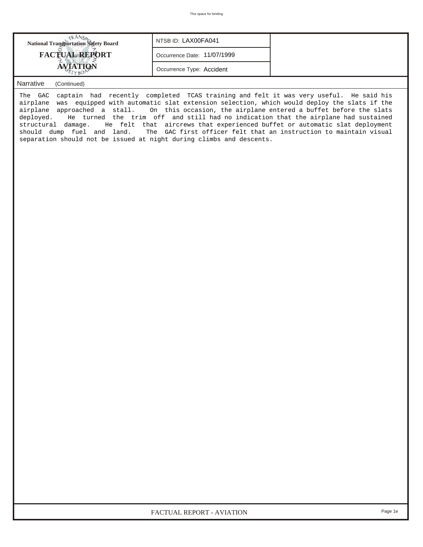| <b>FACTUAL REPORT</b><br>Occurrence Date: 11/07/1999<br>AVIATION<br>Occurrence Type: Accident | <b>National Transportation Safety Board</b> | NTSB ID: LAX00FA041 |
|-----------------------------------------------------------------------------------------------|---------------------------------------------|---------------------|
|                                                                                               |                                             |                     |
|                                                                                               |                                             |                     |

The GAC captain had recently completed TCAS training and felt it was very useful. He said his airplane was equipped with automatic slat extension selection, which would deploy the slats if the airplane approached a stall. On this occasion, the airplane entered a buffet before the slats deployed. He turned the trim off and still had no indication that the airplane had sustained structural damage. He felt that aircrews that experienced buffet or automatic slat deployment should dump fuel and land. The GAC first officer felt that an instruction to maintain visual separation should not be issued at night during climbs and descents.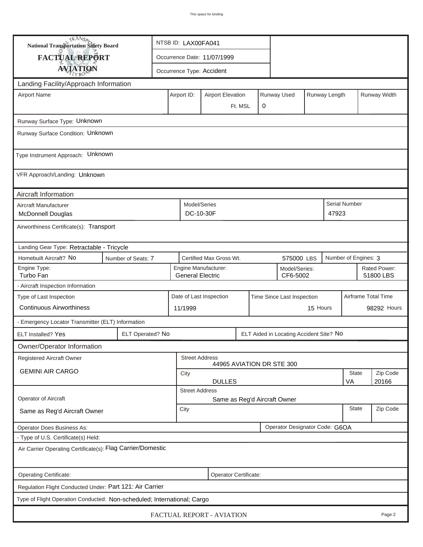| <b>National Transportation Safety Board</b>                                                        |                    | NTSB ID: LAX00FA041                                                          |                                                       |                             |  |  |                                         |             |                           |                      |              |
|----------------------------------------------------------------------------------------------------|--------------------|------------------------------------------------------------------------------|-------------------------------------------------------|-----------------------------|--|--|-----------------------------------------|-------------|---------------------------|----------------------|--------------|
| <b>FACTUAL REPORT</b>                                                                              |                    |                                                                              |                                                       | Occurrence Date: 11/07/1999 |  |  |                                         |             |                           |                      |              |
| <b>AVIATION</b>                                                                                    |                    |                                                                              | Occurrence Type: Accident                             |                             |  |  |                                         |             |                           |                      |              |
| Landing Facility/Approach Information                                                              |                    |                                                                              |                                                       |                             |  |  |                                         |             |                           |                      |              |
| <b>Airport Name</b>                                                                                |                    | Airport ID:                                                                  |                                                       | <b>Airport Elevation</b>    |  |  | Runway Used                             |             | Runway Length             |                      | Runway Width |
|                                                                                                    |                    |                                                                              | 0<br>Ft. MSL                                          |                             |  |  |                                         |             |                           |                      |              |
| Runway Surface Type: Unknown                                                                       |                    |                                                                              |                                                       |                             |  |  |                                         |             |                           |                      |              |
| Runway Surface Condition: Unknown                                                                  |                    |                                                                              |                                                       |                             |  |  |                                         |             |                           |                      |              |
|                                                                                                    |                    |                                                                              |                                                       |                             |  |  |                                         |             |                           |                      |              |
| Type Instrument Approach: Unknown                                                                  |                    |                                                                              |                                                       |                             |  |  |                                         |             |                           |                      |              |
| VFR Approach/Landing: Unknown                                                                      |                    |                                                                              |                                                       |                             |  |  |                                         |             |                           |                      |              |
| Aircraft Information                                                                               |                    |                                                                              |                                                       |                             |  |  |                                         |             |                           |                      |              |
| Aircraft Manufacturer                                                                              |                    |                                                                              | Model/Series                                          |                             |  |  |                                         |             |                           | Serial Number        |              |
| <b>McDonnell Douglas</b>                                                                           |                    | DC-10-30F                                                                    |                                                       |                             |  |  |                                         | 47923       |                           |                      |              |
| Airworthiness Certificate(s): Transport                                                            |                    |                                                                              |                                                       |                             |  |  |                                         |             |                           |                      |              |
| Landing Gear Type: Retractable - Tricycle                                                          |                    |                                                                              |                                                       |                             |  |  |                                         |             |                           |                      |              |
| Homebuilt Aircraft? No                                                                             | Number of Seats: 7 |                                                                              |                                                       | Certified Max Gross Wt.     |  |  | 575000 LBS                              |             |                           | Number of Engines: 3 |              |
| Engine Type:<br>Turbo Fan                                                                          |                    | Engine Manufacturer:<br>Model/Series:<br><b>General Electric</b><br>CF6-5002 |                                                       |                             |  |  |                                         |             | Rated Power:<br>51800 LBS |                      |              |
| - Aircraft Inspection Information                                                                  |                    |                                                                              |                                                       |                             |  |  |                                         |             |                           |                      |              |
| Type of Last Inspection                                                                            |                    |                                                                              | Date of Last Inspection<br>Time Since Last Inspection |                             |  |  |                                         |             |                           | Airframe Total Time  |              |
| <b>Continuous Airworthiness</b>                                                                    |                    | 15 Hours<br>11/1999                                                          |                                                       |                             |  |  |                                         | 98292 Hours |                           |                      |              |
| - Emergency Locator Transmitter (ELT) Information                                                  |                    |                                                                              |                                                       |                             |  |  |                                         |             |                           |                      |              |
| ELT Installed? Yes                                                                                 | ELT Operated? No   |                                                                              |                                                       |                             |  |  | ELT Aided in Locating Accident Site? No |             |                           |                      |              |
| Owner/Operator Information                                                                         |                    |                                                                              |                                                       |                             |  |  |                                         |             |                           |                      |              |
| Registered Aircraft Owner                                                                          |                    |                                                                              | <b>Street Address</b><br>44965 AVIATION DR STE 300    |                             |  |  |                                         |             |                           |                      |              |
| <b>GEMINI AIR CARGO</b>                                                                            |                    |                                                                              | <b>State</b><br>City                                  |                             |  |  |                                         |             | Zip Code                  |                      |              |
|                                                                                                    |                    | 20166<br><b>DULLES</b><br>VA                                                 |                                                       |                             |  |  |                                         |             |                           |                      |              |
| Operator of Aircraft                                                                               |                    | <b>Street Address</b><br>Same as Reg'd Aircraft Owner                        |                                                       |                             |  |  |                                         |             |                           |                      |              |
| Same as Reg'd Aircraft Owner                                                                       |                    |                                                                              | City                                                  |                             |  |  |                                         |             |                           | <b>State</b>         | Zip Code     |
|                                                                                                    |                    |                                                                              |                                                       |                             |  |  |                                         |             |                           |                      |              |
| Operator Does Business As:                                                                         |                    |                                                                              |                                                       |                             |  |  | Operator Designator Code: G6OA          |             |                           |                      |              |
| - Type of U.S. Certificate(s) Held:<br>Air Carrier Operating Certificate(s): Flag Carrier/Domestic |                    |                                                                              |                                                       |                             |  |  |                                         |             |                           |                      |              |
|                                                                                                    |                    |                                                                              |                                                       |                             |  |  |                                         |             |                           |                      |              |
| Operating Certificate:                                                                             |                    |                                                                              |                                                       | Operator Certificate:       |  |  |                                         |             |                           |                      |              |
| Regulation Flight Conducted Under: Part 121: Air Carrier                                           |                    |                                                                              |                                                       |                             |  |  |                                         |             |                           |                      |              |
| Type of Flight Operation Conducted: Non-scheduled; International; Cargo                            |                    |                                                                              |                                                       |                             |  |  |                                         |             |                           |                      |              |
| FACTUAL REPORT - AVIATION<br>Page 2                                                                |                    |                                                                              |                                                       |                             |  |  |                                         |             |                           |                      |              |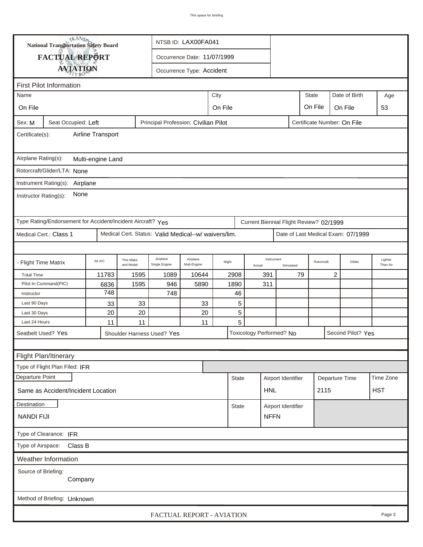| <b>National Transportation Safety Board</b><br>NTSB ID: LAX00FA041                                                   |                                |                   |                                                                                         |                                      |                             |         |                      |                          |                    |                    |                             |                     |            |
|----------------------------------------------------------------------------------------------------------------------|--------------------------------|-------------------|-----------------------------------------------------------------------------------------|--------------------------------------|-----------------------------|---------|----------------------|--------------------------|--------------------|--------------------|-----------------------------|---------------------|------------|
|                                                                                                                      | FACTUAL REPORT                 |                   |                                                                                         |                                      | Occurrence Date: 11/07/1999 |         |                      |                          |                    |                    |                             |                     |            |
|                                                                                                                      |                                |                   |                                                                                         |                                      | Occurrence Type: Accident   |         |                      |                          |                    |                    |                             |                     |            |
|                                                                                                                      | <b>AVIATION</b>                |                   |                                                                                         |                                      |                             |         |                      |                          |                    |                    |                             |                     |            |
|                                                                                                                      | <b>First Pilot Information</b> |                   |                                                                                         |                                      |                             |         |                      |                          |                    |                    |                             |                     |            |
| Name                                                                                                                 |                                |                   |                                                                                         |                                      |                             | City    |                      |                          |                    | <b>State</b>       | Date of Birth               |                     | Age        |
| On File                                                                                                              |                                |                   |                                                                                         |                                      |                             | On File |                      |                          |                    | On File            | On File                     |                     | 53         |
| Sex: M                                                                                                               | Seat Occupied: Left            |                   |                                                                                         | Principal Profession: Civilian Pilot |                             |         |                      |                          |                    |                    | Certificate Number: On File |                     |            |
| Certificate(s):                                                                                                      |                                | Airline Transport |                                                                                         |                                      |                             |         |                      |                          |                    |                    |                             |                     |            |
| Airplane Rating(s):                                                                                                  |                                | Multi-engine Land |                                                                                         |                                      |                             |         |                      |                          |                    |                    |                             |                     |            |
| Rotorcraft/Glider/LTA: None                                                                                          |                                |                   |                                                                                         |                                      |                             |         |                      |                          |                    |                    |                             |                     |            |
| Instrument Rating(s): Airplane                                                                                       |                                |                   |                                                                                         |                                      |                             |         |                      |                          |                    |                    |                             |                     |            |
| None<br>Instructor Rating(s):                                                                                        |                                |                   |                                                                                         |                                      |                             |         |                      |                          |                    |                    |                             |                     |            |
| Type Rating/Endorsement for Accident/Incident Aircraft? Yes<br>Current Biennial Flight Review? 02/1999               |                                |                   |                                                                                         |                                      |                             |         |                      |                          |                    |                    |                             |                     |            |
| Medical Cert.: Class 1<br>Medical Cert. Status: Valid Medical--w/ waivers/lim.<br>Date of Last Medical Exam: 07/1999 |                                |                   |                                                                                         |                                      |                             |         |                      |                          |                    |                    |                             |                     |            |
|                                                                                                                      |                                |                   |                                                                                         |                                      |                             |         |                      |                          |                    |                    |                             |                     |            |
| - Flight Time Matrix                                                                                                 |                                | All A/C           | Airplane<br>Airplane<br>This Make<br>Night<br>Mult-Engine<br>and Model<br>Single Engine |                                      |                             |         | Instrument<br>Actual | Simulated                | Rotorcraft         | Glider             |                             | Lighter<br>Than Air |            |
| <b>Total Time</b>                                                                                                    |                                | 11783             | 1595                                                                                    | 1089                                 | 10644                       | 2908    |                      | 391                      |                    | 79                 | 2                           |                     |            |
|                                                                                                                      | Pilot In Command(PIC)          | 6836              | 1595                                                                                    | 946                                  | 5890                        | 1890    |                      | 311                      |                    |                    |                             |                     |            |
| Instructor                                                                                                           |                                | 748               |                                                                                         | 748                                  |                             |         | 46                   |                          |                    |                    |                             |                     |            |
| Last 90 Days                                                                                                         |                                |                   | 33<br>33<br>33                                                                          |                                      |                             |         | 5                    |                          |                    |                    |                             |                     |            |
| Last 30 Days                                                                                                         |                                | 20                | 20                                                                                      |                                      | 20                          |         | 5                    |                          |                    |                    |                             |                     |            |
| Last 24 Hours                                                                                                        |                                | 11                | 11                                                                                      |                                      | 11                          |         | 5                    |                          |                    |                    |                             |                     |            |
| Seatbelt Used? Yes                                                                                                   |                                |                   |                                                                                         | Shoulder Harness Used? Yes           |                             |         |                      | Toxicology Performed? No |                    |                    | Second Pilot? Yes           |                     |            |
|                                                                                                                      |                                |                   |                                                                                         |                                      |                             |         |                      |                          |                    |                    |                             |                     |            |
|                                                                                                                      | Flight Plan/Itinerary          |                   |                                                                                         |                                      |                             |         |                      |                          |                    |                    |                             |                     |            |
|                                                                                                                      | Type of Flight Plan Filed: IFR |                   |                                                                                         |                                      |                             |         |                      |                          |                    |                    |                             |                     |            |
| Departure Point                                                                                                      |                                |                   |                                                                                         |                                      |                             |         | <b>State</b>         |                          | Airport Identifier |                    | Departure Time              |                     | Time Zone  |
| Same as Accident/Incident Location                                                                                   |                                |                   |                                                                                         |                                      |                             |         |                      |                          | <b>HNL</b>         |                    | 2115                        |                     | <b>HST</b> |
| Destination                                                                                                          |                                |                   |                                                                                         |                                      |                             |         | <b>State</b>         |                          |                    | Airport Identifier |                             |                     |            |
| <b>NFFN</b><br><b>NANDI FIJI</b>                                                                                     |                                |                   |                                                                                         |                                      |                             |         |                      |                          |                    |                    |                             |                     |            |
| Type of Clearance: IFR                                                                                               |                                |                   |                                                                                         |                                      |                             |         |                      |                          |                    |                    |                             |                     |            |
|                                                                                                                      | Type of Airspace: Class B      |                   |                                                                                         |                                      |                             |         |                      |                          |                    |                    |                             |                     |            |
|                                                                                                                      | Weather Information            |                   |                                                                                         |                                      |                             |         |                      |                          |                    |                    |                             |                     |            |
| Source of Briefing:                                                                                                  | Company                        |                   |                                                                                         |                                      |                             |         |                      |                          |                    |                    |                             |                     |            |
|                                                                                                                      | Method of Briefing: Unknown    |                   |                                                                                         |                                      |                             |         |                      |                          |                    |                    |                             |                     |            |
|                                                                                                                      |                                |                   |                                                                                         | FACTUAL REPORT - AVIATION            |                             |         |                      |                          |                    |                    |                             |                     | Page 3     |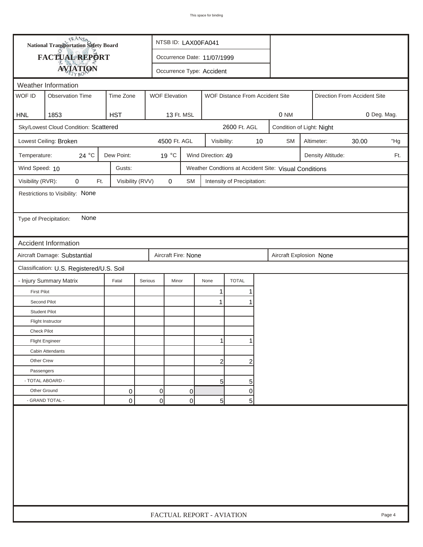| FACTUAL REPORT<br>Occurrence Date: 11/07/1999<br><b>AVIATION</b><br>Occurrence Type: Accident<br>Weather Information<br>WOF ID<br>Time Zone<br><b>Observation Time</b><br><b>WOF Elevation</b><br>WOF Distance From Accident Site<br>Direction From Accident Site<br>1853<br><b>HST</b><br>0 NM<br>0 Deg. Mag.<br><b>HNL</b><br>13 Ft. MSL<br>Sky/Lowest Cloud Condition: Scattered<br>2600 Ft. AGL<br>Condition of Light: Night<br>Lowest Ceiling: Broken<br>4500 Ft. AGL<br>$10$<br><b>SM</b><br>Altimeter:<br>30.00<br>Visibility:<br>24 °C<br>Dew Point:<br>19 °C<br>Wind Direction: 49<br>Temperature:<br>Density Altitude:<br>Wind Speed: 10<br>Gusts:<br>Weather Condtions at Accident Site: Visual Conditions<br>Visibility (RVR):<br>0<br>Visibility (RVV)<br>$\pmb{0}$<br>Ft.<br>SM<br>Intensity of Precipitation:<br>Restrictions to Visibility: None<br>None<br>Type of Precipitation:<br><b>Accident Information</b><br>Aircraft Damage: Substantial<br>Aircraft Fire: None<br>Aircraft Explosion None<br>Classification: U.S. Registered/U.S. Soil<br>- Injury Summary Matrix<br><b>TOTAL</b><br>Fatal<br>Serious<br>Minor<br>None<br><b>First Pilot</b><br>1<br>Second Pilot<br>1<br><b>Student Pilot</b><br>Flight Instructor<br>Check Pilot |  | <b>National Transportation Safety Board</b> |  |  | NTSB ID: LAX00FA041       |  |  |  |     |  |  |  |        |
|--------------------------------------------------------------------------------------------------------------------------------------------------------------------------------------------------------------------------------------------------------------------------------------------------------------------------------------------------------------------------------------------------------------------------------------------------------------------------------------------------------------------------------------------------------------------------------------------------------------------------------------------------------------------------------------------------------------------------------------------------------------------------------------------------------------------------------------------------------------------------------------------------------------------------------------------------------------------------------------------------------------------------------------------------------------------------------------------------------------------------------------------------------------------------------------------------------------------------------------------------------------|--|---------------------------------------------|--|--|---------------------------|--|--|--|-----|--|--|--|--------|
|                                                                                                                                                                                                                                                                                                                                                                                                                                                                                                                                                                                                                                                                                                                                                                                                                                                                                                                                                                                                                                                                                                                                                                                                                                                              |  |                                             |  |  |                           |  |  |  |     |  |  |  |        |
|                                                                                                                                                                                                                                                                                                                                                                                                                                                                                                                                                                                                                                                                                                                                                                                                                                                                                                                                                                                                                                                                                                                                                                                                                                                              |  |                                             |  |  |                           |  |  |  |     |  |  |  |        |
|                                                                                                                                                                                                                                                                                                                                                                                                                                                                                                                                                                                                                                                                                                                                                                                                                                                                                                                                                                                                                                                                                                                                                                                                                                                              |  |                                             |  |  |                           |  |  |  |     |  |  |  |        |
|                                                                                                                                                                                                                                                                                                                                                                                                                                                                                                                                                                                                                                                                                                                                                                                                                                                                                                                                                                                                                                                                                                                                                                                                                                                              |  |                                             |  |  |                           |  |  |  |     |  |  |  |        |
|                                                                                                                                                                                                                                                                                                                                                                                                                                                                                                                                                                                                                                                                                                                                                                                                                                                                                                                                                                                                                                                                                                                                                                                                                                                              |  |                                             |  |  |                           |  |  |  |     |  |  |  |        |
|                                                                                                                                                                                                                                                                                                                                                                                                                                                                                                                                                                                                                                                                                                                                                                                                                                                                                                                                                                                                                                                                                                                                                                                                                                                              |  |                                             |  |  |                           |  |  |  |     |  |  |  |        |
|                                                                                                                                                                                                                                                                                                                                                                                                                                                                                                                                                                                                                                                                                                                                                                                                                                                                                                                                                                                                                                                                                                                                                                                                                                                              |  |                                             |  |  |                           |  |  |  |     |  |  |  |        |
|                                                                                                                                                                                                                                                                                                                                                                                                                                                                                                                                                                                                                                                                                                                                                                                                                                                                                                                                                                                                                                                                                                                                                                                                                                                              |  |                                             |  |  |                           |  |  |  | "Hg |  |  |  |        |
|                                                                                                                                                                                                                                                                                                                                                                                                                                                                                                                                                                                                                                                                                                                                                                                                                                                                                                                                                                                                                                                                                                                                                                                                                                                              |  |                                             |  |  |                           |  |  |  |     |  |  |  | Ft.    |
|                                                                                                                                                                                                                                                                                                                                                                                                                                                                                                                                                                                                                                                                                                                                                                                                                                                                                                                                                                                                                                                                                                                                                                                                                                                              |  |                                             |  |  |                           |  |  |  |     |  |  |  |        |
|                                                                                                                                                                                                                                                                                                                                                                                                                                                                                                                                                                                                                                                                                                                                                                                                                                                                                                                                                                                                                                                                                                                                                                                                                                                              |  |                                             |  |  |                           |  |  |  |     |  |  |  |        |
|                                                                                                                                                                                                                                                                                                                                                                                                                                                                                                                                                                                                                                                                                                                                                                                                                                                                                                                                                                                                                                                                                                                                                                                                                                                              |  |                                             |  |  |                           |  |  |  |     |  |  |  |        |
|                                                                                                                                                                                                                                                                                                                                                                                                                                                                                                                                                                                                                                                                                                                                                                                                                                                                                                                                                                                                                                                                                                                                                                                                                                                              |  |                                             |  |  |                           |  |  |  |     |  |  |  |        |
|                                                                                                                                                                                                                                                                                                                                                                                                                                                                                                                                                                                                                                                                                                                                                                                                                                                                                                                                                                                                                                                                                                                                                                                                                                                              |  |                                             |  |  |                           |  |  |  |     |  |  |  |        |
|                                                                                                                                                                                                                                                                                                                                                                                                                                                                                                                                                                                                                                                                                                                                                                                                                                                                                                                                                                                                                                                                                                                                                                                                                                                              |  |                                             |  |  |                           |  |  |  |     |  |  |  |        |
|                                                                                                                                                                                                                                                                                                                                                                                                                                                                                                                                                                                                                                                                                                                                                                                                                                                                                                                                                                                                                                                                                                                                                                                                                                                              |  |                                             |  |  |                           |  |  |  |     |  |  |  |        |
|                                                                                                                                                                                                                                                                                                                                                                                                                                                                                                                                                                                                                                                                                                                                                                                                                                                                                                                                                                                                                                                                                                                                                                                                                                                              |  |                                             |  |  |                           |  |  |  |     |  |  |  |        |
|                                                                                                                                                                                                                                                                                                                                                                                                                                                                                                                                                                                                                                                                                                                                                                                                                                                                                                                                                                                                                                                                                                                                                                                                                                                              |  |                                             |  |  |                           |  |  |  |     |  |  |  |        |
|                                                                                                                                                                                                                                                                                                                                                                                                                                                                                                                                                                                                                                                                                                                                                                                                                                                                                                                                                                                                                                                                                                                                                                                                                                                              |  |                                             |  |  |                           |  |  |  |     |  |  |  |        |
|                                                                                                                                                                                                                                                                                                                                                                                                                                                                                                                                                                                                                                                                                                                                                                                                                                                                                                                                                                                                                                                                                                                                                                                                                                                              |  |                                             |  |  |                           |  |  |  |     |  |  |  |        |
|                                                                                                                                                                                                                                                                                                                                                                                                                                                                                                                                                                                                                                                                                                                                                                                                                                                                                                                                                                                                                                                                                                                                                                                                                                                              |  |                                             |  |  |                           |  |  |  |     |  |  |  |        |
|                                                                                                                                                                                                                                                                                                                                                                                                                                                                                                                                                                                                                                                                                                                                                                                                                                                                                                                                                                                                                                                                                                                                                                                                                                                              |  |                                             |  |  |                           |  |  |  |     |  |  |  |        |
|                                                                                                                                                                                                                                                                                                                                                                                                                                                                                                                                                                                                                                                                                                                                                                                                                                                                                                                                                                                                                                                                                                                                                                                                                                                              |  |                                             |  |  |                           |  |  |  |     |  |  |  |        |
|                                                                                                                                                                                                                                                                                                                                                                                                                                                                                                                                                                                                                                                                                                                                                                                                                                                                                                                                                                                                                                                                                                                                                                                                                                                              |  |                                             |  |  |                           |  |  |  |     |  |  |  |        |
| <b>Flight Engineer</b>                                                                                                                                                                                                                                                                                                                                                                                                                                                                                                                                                                                                                                                                                                                                                                                                                                                                                                                                                                                                                                                                                                                                                                                                                                       |  |                                             |  |  |                           |  |  |  |     |  |  |  |        |
| Cabin Attendants                                                                                                                                                                                                                                                                                                                                                                                                                                                                                                                                                                                                                                                                                                                                                                                                                                                                                                                                                                                                                                                                                                                                                                                                                                             |  |                                             |  |  |                           |  |  |  |     |  |  |  |        |
| Other Crew<br>$\mathbf{2}$<br>2                                                                                                                                                                                                                                                                                                                                                                                                                                                                                                                                                                                                                                                                                                                                                                                                                                                                                                                                                                                                                                                                                                                                                                                                                              |  |                                             |  |  |                           |  |  |  |     |  |  |  |        |
| Passengers                                                                                                                                                                                                                                                                                                                                                                                                                                                                                                                                                                                                                                                                                                                                                                                                                                                                                                                                                                                                                                                                                                                                                                                                                                                   |  |                                             |  |  |                           |  |  |  |     |  |  |  |        |
| - TOTAL ABOARD -<br>5 <sup>1</sup><br>5                                                                                                                                                                                                                                                                                                                                                                                                                                                                                                                                                                                                                                                                                                                                                                                                                                                                                                                                                                                                                                                                                                                                                                                                                      |  |                                             |  |  |                           |  |  |  |     |  |  |  |        |
| 0<br>Other Ground<br>0<br>0<br>0                                                                                                                                                                                                                                                                                                                                                                                                                                                                                                                                                                                                                                                                                                                                                                                                                                                                                                                                                                                                                                                                                                                                                                                                                             |  |                                             |  |  |                           |  |  |  |     |  |  |  |        |
| $\overline{0}$<br>- GRAND TOTAL -<br>$\mathbf 0$<br>$\mathbf 0$<br>5 <sup>1</sup><br>5                                                                                                                                                                                                                                                                                                                                                                                                                                                                                                                                                                                                                                                                                                                                                                                                                                                                                                                                                                                                                                                                                                                                                                       |  |                                             |  |  |                           |  |  |  |     |  |  |  |        |
|                                                                                                                                                                                                                                                                                                                                                                                                                                                                                                                                                                                                                                                                                                                                                                                                                                                                                                                                                                                                                                                                                                                                                                                                                                                              |  |                                             |  |  | FACTUAL REPORT - AVIATION |  |  |  |     |  |  |  | Page 4 |